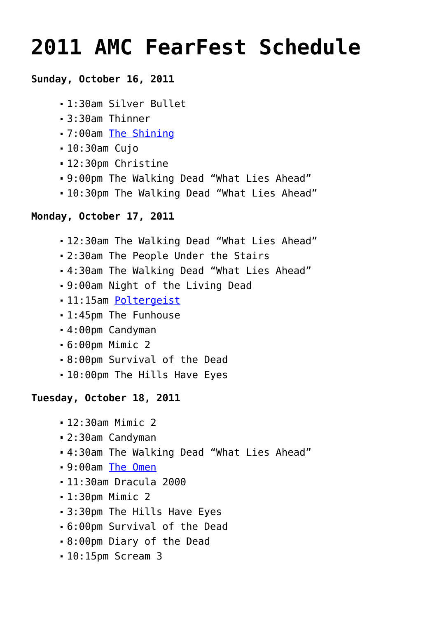# **[2011 AMC FearFest Schedule](https://www.halloweenmoviesontv.com/archives/2011-amc-fearfest-schedule/)**

# **Sunday, October 16, 2011**

- 1:30am Silver Bullet
- 3:30am Thinner
- 7:00am [The Shining](http://www.halloweenmoviesontv.com/halloween-movies-a-to-z/the-shining-1980/)
- 10:30am Cujo
- 12:30pm Christine
- 9:00pm The Walking Dead "What Lies Ahead"
- 10:30pm The Walking Dead "What Lies Ahead"

# **Monday, October 17, 2011**

- 12:30am The Walking Dead "What Lies Ahead"
- 2:30am The People Under the Stairs
- 4:30am The Walking Dead "What Lies Ahead"
- 9:00am Night of the Living Dead
- 11:15am [Poltergeist](http://www.halloweenmoviesontv.com/halloween-movies-a-to-z/poltergeist-1982/)
- 1:45pm The Funhouse
- 4:00pm Candyman
- 6:00pm Mimic 2
- 8:00pm Survival of the Dead
- 10:00pm The Hills Have Eyes

# **Tuesday, October 18, 2011**

- 12:30am Mimic 2
- 2:30am Candyman
- 4:30am The Walking Dead "What Lies Ahead"
- 9:00am [The Omen](http://www.halloweenmoviesontv.com/halloween-movies-a-to-z/the-omen-1976/)
- 11:30am Dracula 2000
- 1:30pm Mimic 2
- 3:30pm The Hills Have Eyes
- 6:00pm Survival of the Dead
- 8:00pm Diary of the Dead
- 10:15pm Scream 3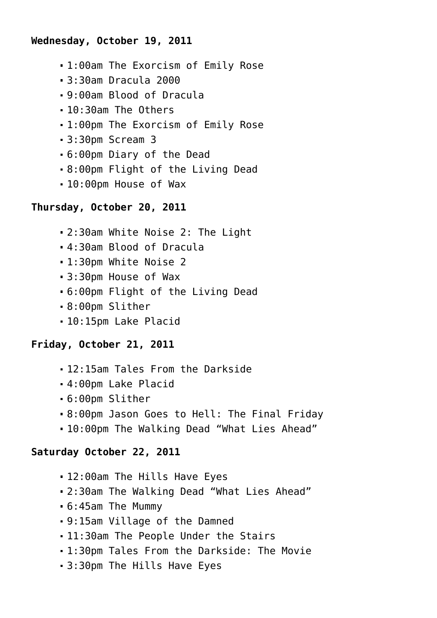#### **Wednesday, October 19, 2011**

- 1:00am The Exorcism of Emily Rose
- 3:30am Dracula 2000
- 9:00am Blood of Dracula
- 10:30am The Others
- 1:00pm The Exorcism of Emily Rose
- 3:30pm Scream 3
- 6:00pm Diary of the Dead
- 8:00pm Flight of the Living Dead
- 10:00pm House of Wax

#### **Thursday, October 20, 2011**

- 2:30am White Noise 2: The Light
- 4:30am Blood of Dracula
- 1:30pm White Noise 2
- 3:30pm House of Wax
- 6:00pm Flight of the Living Dead
- 8:00pm Slither
- 10:15pm Lake Placid

# **Friday, October 21, 2011**

- 12:15am Tales From the Darkside
- 4:00pm Lake Placid
- 6:00pm Slither
- 8:00pm Jason Goes to Hell: The Final Friday
- 10:00pm The Walking Dead "What Lies Ahead"

# **Saturday October 22, 2011**

- 12:00am The Hills Have Eyes
- 2:30am The Walking Dead "What Lies Ahead"
- 6:45am The Mummy
- 9:15am Village of the Damned
- 11:30am The People Under the Stairs
- 1:30pm Tales From the Darkside: The Movie
- 3:30pm The Hills Have Eyes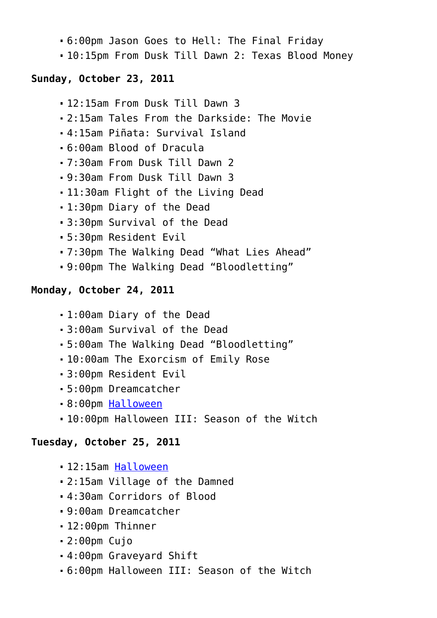- 6:00pm Jason Goes to Hell: The Final Friday
- 10:15pm From Dusk Till Dawn 2: Texas Blood Money

#### **Sunday, October 23, 2011**

- 12:15am From Dusk Till Dawn 3
- 2:15am Tales From the Darkside: The Movie
- 4:15am Piñata: Survival Island
- 6:00am Blood of Dracula
- 7:30am From Dusk Till Dawn 2
- 9:30am From Dusk Till Dawn 3
- 11:30am Flight of the Living Dead
- 1:30pm Diary of the Dead
- 3:30pm Survival of the Dead
- 5:30pm Resident Evil
- 7:30pm The Walking Dead "What Lies Ahead"
- 9:00pm The Walking Dead "Bloodletting"

# **Monday, October 24, 2011**

- 1:00am Diary of the Dead
- 3:00am Survival of the Dead
- 5:00am The Walking Dead "Bloodletting"
- 10:00am The Exorcism of Emily Rose
- 3:00pm Resident Evil
- 5:00pm Dreamcatcher
- 8:00pm [Halloween](http://www.halloweenmoviesontv.com/halloween-movies-a-to-z/halloween-1978/)
- 10:00pm Halloween III: Season of the Witch

# **Tuesday, October 25, 2011**

- 12:15am [Halloween](http://www.halloweenmoviesontv.com/halloween-movies-a-to-z/halloween-1978/)
- 2:15am Village of the Damned
- 4:30am Corridors of Blood
- 9:00am Dreamcatcher
- 12:00pm Thinner
- 2:00pm Cujo
- 4:00pm Graveyard Shift
- 6:00pm Halloween III: Season of the Witch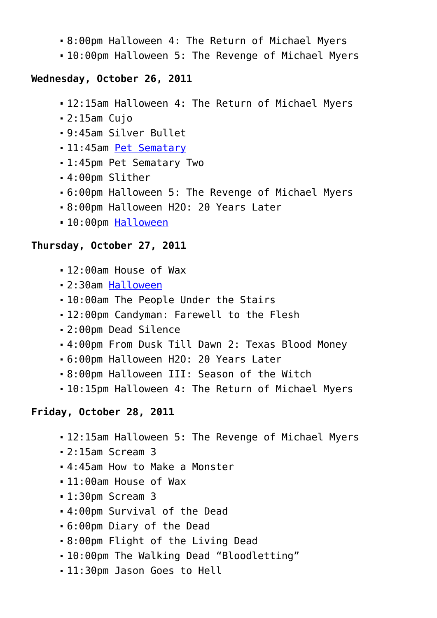- 8:00pm Halloween 4: The Return of Michael Myers
- 10:00pm Halloween 5: The Revenge of Michael Myers

#### **Wednesday, October 26, 2011**

- 12:15am Halloween 4: The Return of Michael Myers
- 2:15am Cujo
- 9:45am Silver Bullet
- 11:45am [Pet Sematary](http://www.halloweenmoviesontv.com/halloween-movies-a-to-z/pet-sematary-1989/)
- 1:45pm Pet Sematary Two
- 4:00pm Slither
- 6:00pm Halloween 5: The Revenge of Michael Myers
- 8:00pm Halloween H2O: 20 Years Later
- 10:00pm [Halloween](http://www.halloweenmoviesontv.com/halloween-movies-a-to-z/halloween-1978/)

#### **Thursday, October 27, 2011**

- 12:00am House of Wax
- 2:30am [Halloween](http://www.halloweenmoviesontv.com/halloween-movies-a-to-z/halloween-1978/)
- 10:00am The People Under the Stairs
- 12:00pm Candyman: Farewell to the Flesh
- 2:00pm Dead Silence
- 4:00pm From Dusk Till Dawn 2: Texas Blood Money
- 6:00pm Halloween H2O: 20 Years Later
- 8:00pm Halloween III: Season of the Witch
- 10:15pm Halloween 4: The Return of Michael Myers

# **Friday, October 28, 2011**

- 12:15am Halloween 5: The Revenge of Michael Myers
- 2:15am Scream 3
- 4:45am How to Make a Monster
- 11:00am House of Wax
- 1:30pm Scream 3
- 4:00pm Survival of the Dead
- 6:00pm Diary of the Dead
- 8:00pm Flight of the Living Dead
- 10:00pm The Walking Dead "Bloodletting"
- 11:30pm Jason Goes to Hell